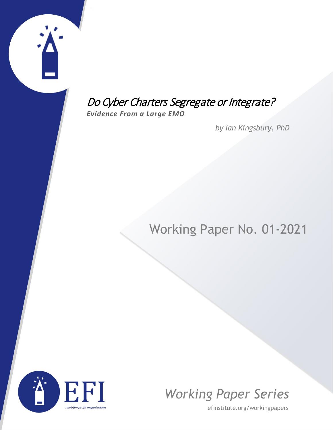# Do Cyber Charters Segregate or Integrate?

*Evidence From a Large EMO*

*by Ian Kingsbury, PhD*

# Working Paper No. 01-2021





efinstitute.org/workingpapers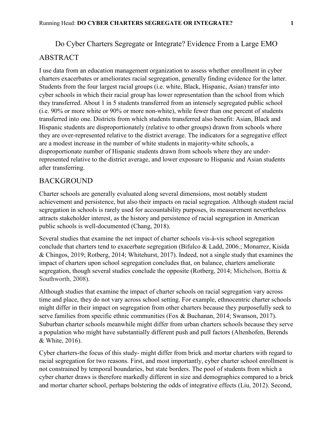Do Cyber Charters Segregate or Integrate? Evidence From a Large EMO

## ABSTRACT

I use data from an education management organization to assess whether enrollment in cyber charters exacerbates or ameliorates racial segregation, generally finding evidence for the latter. Students from the four largest racial groups (i.e. white, Black, Hispanic, Asian) transfer into cyber schools in which their racial group has lower representation than the school from which they transferred. About 1 in 5 students transferred from an intensely segregated public school (i.e. 90% or more white or 90% or more non-white), while fewer than one percent of students transferred into one. Districts from which students transferred also benefit: Asian, Black and Hispanic students are disproportionately (relative to other groups) drawn from schools where they are over-represented relative to the district average. The indicators for a segregative effect are a modest increase in the number of white students in majority-white schools, a disproportionate number of Hispanic students drawn from schools where they are underrepresented relative to the district average, and lower exposure to Hispanic and Asian students after transferring.

# BACKGROUND

Charter schools are generally evaluated along several dimensions, most notably student achievement and persistence, but also their impacts on racial segregation. Although student racial segregation in schools is rarely used for accountability purposes, its measurement nevertheless attracts stakeholder interest, as the history and persistence of racial segregation in American public schools is well-documented (Chang, 2018).

Several studies that examine the net impact of charter schools vis-à-vis school segregation conclude that charters tend to exacerbate segregation (Bifulco & Ladd, 2006.; Monarrez, Kisida & Chingos, 2019; Rotberg, 2014; Whitehurst, 2017). Indeed, not a single study that examines the impact of charters upon school segregation concludes that, on balance, charters ameliorate segregation, though several studies conclude the opposite (Rotberg, 2014; Michelson, Bottia & Southworth, 2008).

Although studies that examine the impact of charter schools on racial segregation vary across time and place, they do not vary across school setting. For example, ethnocentric charter schools might differ in their impact on segregation from other charters because they purposefully seek to serve families from specific ethnic communities (Fox & Buchanan, 2014; Swanson, 2017). Suburban charter schools meanwhile might differ from urban charters schools because they serve a population who might have substantially different push and pull factors (Altenhofen, Berends & White, 2016).

Cyber charters-the focus of this study- might differ from brick and mortar charters with regard to racial segregation for two reasons. First, and most importantly, cyber charter school enrollment is not constrained by temporal boundaries, but state borders. The pool of students from which a cyber charter draws is therefore markedly different in size and demographics compared to a brick and mortar charter school, perhaps bolstering the odds of integrative effects (Liu, 2012). Second,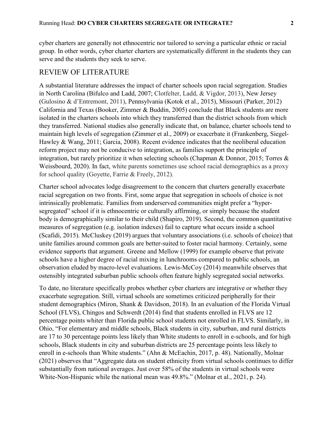cyber charters are generally not ethnocentric nor tailored to serving a particular ethnic or racial group. In other words, cyber charter charters are systematically different in the students they can serve and the students they seek to serve.

# REVIEW OF LITERATURE

A substantial literature addresses the impact of charter schools upon racial segregation. Studies in North Carolina (Bifulco and Ladd, 2007; Clotfelter, Ladd, & Vigdor, 2013), New Jersey (Gulosino & d'Entremont, 2011), Pennsylvania (Kotok et al., 2015), Missouri (Parker, 2012) California and Texas (Booker, Zimmer & Buddin, 2005) conclude that Black students are more isolated in the charters schools into which they transferred than the district schools from which they transferred. National studies also generally indicate that, on balance, charter schools tend to maintain high levels of segregation (Zimmer et al., 2009) or exacerbate it (Frankenberg, Siegel-Hawley & Wang, 2011; Garcia, 2008). Recent evidence indicates that the neoliberal education reform project may not be conducive to integration, as families support the principle of integration, but rarely prioritize it when selecting schools (Chapman & Donnor, 2015; Torres & Weissbourd, 2020). In fact, white parents sometimes use school racial demographics as a proxy for school quality (Goyette, Farrie & Freely, 2012).

Charter school advocates lodge disagreement to the concern that charters generally exacerbate racial segregation on two fronts. First, some argue that segregation in schools of choice is not intrinsically problematic. Families from underserved communities might prefer a "hypersegregated" school if it is ethnocentric or culturally affirming, or simply because the student body is demographically similar to their child (Shapiro, 2019). Second, the common quantitative measures of segregation (e.g. isolation indexes) fail to capture what occurs inside a school (Scafidi, 2015). McCluskey (2019) argues that voluntary associations (i.e. schools of choice) that unite families around common goals are better-suited to foster racial harmony. Certainly, some evidence supports that argument. Greene and Mellow (1999) for example observe that private schools have a higher degree of racial mixing in lunchrooms compared to public schools, an observation eluded by macro-level evaluations. Lewis-McCoy (2014) meanwhile observes that ostensibly integrated suburban public schools often feature highly segregated social networks.

To date, no literature specifically probes whether cyber charters are integrative or whether they exacerbate segregation. Still, virtual schools are sometimes criticized peripherally for their student demographics (Miron, Shank & Davidson, 2018). In an evaluation of the Florida Virtual School (FLVS), Chingos and Schwerdt (2014) find that students enrolled in FLVS are 12 percentage points whiter than Florida public school students not enrolled in FLVS. Similarly, in Ohio, "For elementary and middle schools, Black students in city, suburban, and rural districts are 17 to 30 percentage points less likely than White students to enroll in e-schools, and for high schools, Black students in city and suburban districts are 25 percentage points less likely to enroll in e-schools than White students." (Ahn & McEachin, 2017, p. 48). Nationally, Molnar (2021) observes that "Aggregate data on student ethnicity from virtual schools continues to differ substantially from national averages. Just over 58% of the students in virtual schools were White-Non-Hispanic while the national mean was 49.8%." (Molnar et al., 2021, p. 24).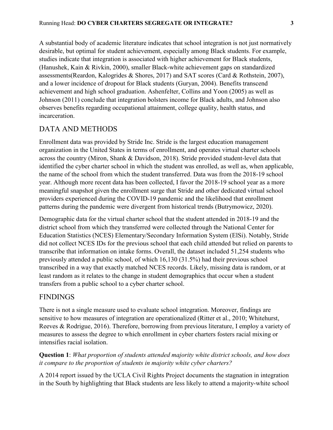A substantial body of academic literature indicates that school integration is not just normatively desirable, but optimal for student achievement, especially among Black students. For example, studies indicate that integration is associated with higher achievement for Black students, (Hanushek, Kain & Rivkin, 2000), smaller Black-white achievement gaps on standardized assessments(Reardon, Kalogrides & Shores, 2017) and SAT scores (Card & Rothstein, 2007), and a lower incidence of dropout for Black students (Guryan, 2004). Benefits transcend achievement and high school graduation. Ashenfelter, Collins and Yoon (2005) as well as Johnson (2011) conclude that integration bolsters income for Black adults, and Johnson also observes benefits regarding occupational attainment, college quality, health status, and incarceration.

# DATA AND METHODS

Enrollment data was provided by Stride Inc. Stride is the largest education management organization in the United States in terms of enrollment, and operates virtual charter schools across the country (Miron, Shank & Davidson, 2018). Stride provided student-level data that identified the cyber charter school in which the student was enrolled, as well as, when applicable, the name of the school from which the student transferred. Data was from the 2018-19 school year. Although more recent data has been collected, I favor the 2018-19 school year as a more meaningful snapshot given the enrollment surge that Stride and other dedicated virtual school providers experienced during the COVID-19 pandemic and the likelihood that enrollment patterns during the pandemic were divergent from historical trends (Butrymowicz, 2020).

Demographic data for the virtual charter school that the student attended in 2018-19 and the district school from which they transferred were collected through the National Center for Education Statistics (NCES) Elementary/Secondary Information System (ElSi). Notably, Stride did not collect NCES IDs for the previous school that each child attended but relied on parents to transcribe that information on intake forms. Overall, the dataset included 51,254 students who previously attended a public school, of which 16,130 (31.5%) had their previous school transcribed in a way that exactly matched NCES records. Likely, missing data is random, or at least random as it relates to the change in student demographics that occur when a student transfers from a public school to a cyber charter school.

# FINDINGS

There is not a single measure used to evaluate school integration. Moreover, findings are sensitive to how measures of integration are operationalized (Ritter et al., 2010; Whitehurst, Reeves & Rodrigue, 2016). Therefore, borrowing from previous literature, I employ a variety of measures to assess the degree to which enrollment in cyber charters fosters racial mixing or intensifies racial isolation.

**Question 1**: *What proportion of students attended majority white district schools, and how does it compare to the proportion of students in majority white cyber charters?*

A 2014 report issued by the UCLA Civil Rights Project documents the stagnation in integration in the South by highlighting that Black students are less likely to attend a majority-white school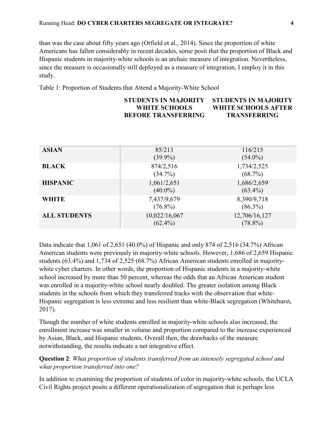than was the case about fifty years ago (Orfield et al., 2014). Since the proportion of white Americans has fallen considerably in recent decades, some posit that the proportion of Black and Hispanic students in majority-white schools is an archaic measure of integration. Nevertheless, since the measure is occasionally still deployed as a measure of integration, I employ it in this study.

Table 1: Proportion of Students that Attend a Majority-White School

#### **STUDENTS IN MAJORITY WHITE SCHOOLS BEFORE TRANSFERRING STUDENTS IN MAJORITY WHITE SCHOOLS AFTER TRANSFERRING**

| <b>ASIAN</b>        | 85/213<br>$(39.9\%)$        | 116/215<br>$(54.0\%)$       |
|---------------------|-----------------------------|-----------------------------|
| <b>BLACK</b>        | 874/2,516<br>$(34.7\%)$     | 1,734/2,525<br>$(68.7\%)$   |
| <b>HISPANIC</b>     | 1,061/2,651<br>$(40.0\%)$   | 1,686/2,659<br>$(63.4\%)$   |
| <b>WHITE</b>        | 7,437/9,679<br>$(76.8\%)$   | 8,390/9,718<br>$(86.3\%)$   |
| <b>ALL STUDENTS</b> | 10,022/16,067<br>$(62.4\%)$ | 12,706/16,127<br>$(78.8\%)$ |

Data indicate that 1,061 of 2,651 (40.0%) of Hispanic and only 874 of 2,516 (34.7%) African American students were previously in majority-white schools. However, 1,686 of 2,659 Hispanic students (63.4%) and 1,734 of 2,525 (68.7%) African American students enrolled in majoritywhite cyber charters. In other words, the proportion of Hispanic students in a majority-white school increased by more than 50 percent, whereas the odds that an African American student was enrolled in a majority-white school nearly doubled. The greater isolation among Black students in the schools from which they transferred tracks with the observation that white-Hispanic segregation is less extreme and less resilient than white-Black segregation (Whitehurst, 2017).

Though the number of white students enrolled in majority-white schools also increased, the enrollment increase was smaller in volume and proportion compared to the increase experienced by Asian, Black, and Hispanic students. Overall then, the drawbacks of the measure notwithstanding, the results indicate a net integrative effect.

**Question 2**: *What proportion of students transferred from an intensely segregated school and what proportion transferred into one?*

In addition to examining the proportion of students of color in majority-white schools, the UCLA Civil Rights project posits a different operationalization of segregation that is perhaps less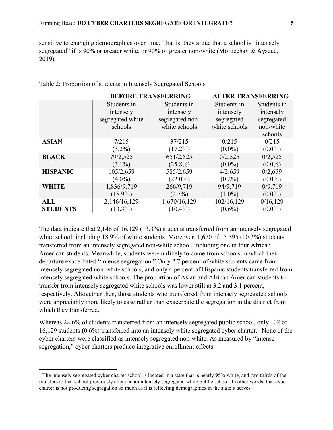sensitive to changing demographics over time. That is, they argue that a school is "intensely segregated" if is 90% or greater white, or 90% or greater non-white (Mordechay & Ayscue, 2019).

|                 | <b>BEFORE TRANSFERRING</b>                              |                                                              | <b>AFTER TRANSFERRING</b>                               |                                                                |  |
|-----------------|---------------------------------------------------------|--------------------------------------------------------------|---------------------------------------------------------|----------------------------------------------------------------|--|
|                 | Students in<br>intensely<br>segregated white<br>schools | Students in<br>intensely<br>segregated non-<br>white schools | Students in<br>intensely<br>segregated<br>white schools | Students in<br>intensely<br>segregated<br>non-white<br>schools |  |
| <b>ASIAN</b>    | 7/215                                                   | 37/215                                                       | 0/215                                                   | 0/215                                                          |  |
|                 | $(3.2\%)$                                               | $(17.2\%)$                                                   | $(0.0\%)$                                               | $(0.0\%)$                                                      |  |
| <b>BLACK</b>    | 79/2,525                                                | 651/2,525                                                    | 0/2,525                                                 | 0/2,525                                                        |  |
|                 | $(3.1\%)$                                               | $(25.8\%)$                                                   | $(0.0\%)$                                               | $(0.0\%)$                                                      |  |
| <b>HISPANIC</b> | 105/2,659                                               | 585/2,659                                                    | 4/2,659                                                 | 0/2,659                                                        |  |
|                 | $(4.0\%)$                                               | $(22.0\%)$                                                   | $(0.2\%)$                                               | $(0.0\%)$                                                      |  |
| <b>WHITE</b>    | 1,836/9,719                                             | 266/9,719                                                    | 94/9,719                                                | 0/9,719                                                        |  |
|                 | $(18.9\%)$                                              | $(2.7\%)$                                                    | $(1.0\%)$                                               | $(0.0\%)$                                                      |  |
| <b>ALL</b>      | 2,146/16,129                                            | 1,670/16,129                                                 | 102/16,129                                              | 0/16,129                                                       |  |
| <b>STUDENTS</b> | $(13.3\%)$                                              | $(10.4\%)$                                                   | $(0.6\%)$                                               | $(0.0\%)$                                                      |  |

Table 2: Proportion of students in Intensely Segregated Schools

The data indicate that 2,146 of 16,129 (13.3%) students transferred from an intensely segregated white school, including 18.9% of white students. Moreover, 1,670 of 15,595 (10.2%) students transferred from an intensely segregated non-white school, including one in four African American students. Meanwhile, students were unlikely to come from schools in which their departure exacerbated "intense segregation." Only 2.7 percent of white students came from intensely segregated non-white schools, and only 4 percent of Hispanic students transferred from intensely segregated white schools. The proportion of Asian and African American students to transfer from intensely segregated white schools was lower still at 3.2 and 3.1 percent, respectively. Altogether then, those students who transferred from intensely segregated schools were appreciably more likely to ease rather than exacerbate the segregation in the district from which they transferred.

Whereas 22.6% of students transferred from an intensely segregated public school, only 102 of [1](#page-5-0)6,129 students (0.6%) transferred into an intensely white segregated cyber charter.<sup>1</sup> None of the cyber charters were classified as intensely segregated non-white. As measured by "intense segregation," cyber charters produce integrative enrollment effects.

l

<span id="page-5-0"></span><sup>&</sup>lt;sup>1</sup> The intensely segregated cyber charter school is located in a state that is nearly 95% white, and two thirds of the transfers to that school previously attended an intensely segregated white public school. In other words, that cyber charter is not producing segregation so much as it is reflecting demographics in the state it serves.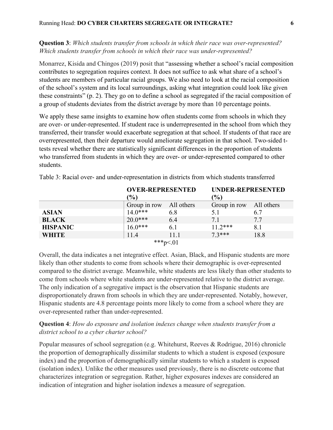**Question 3**: *Which students transfer from schools in which their race was over-represented? Which students transfer from schools in which their race was under-represented?*

Monarrez, Kisida and Chingos (2019) posit that "assessing whether a school's racial composition contributes to segregation requires context. It does not suffice to ask what share of a school's students are members of particular racial groups. We also need to look at the racial composition of the school's system and its local surroundings, asking what integration could look like given these constraints" (p. 2). They go on to define a school as segregated if the racial composition of a group of students deviates from the district average by more than 10 percentage points.

We apply these same insights to examine how often students come from schools in which they are over- or under-represented. If student race is underrepresented in the school from which they transferred, their transfer would exacerbate segregation at that school. If students of that race are overrepresented, then their departure would ameliorate segregation in that school. Two-sided ttests reveal whether there are statistically significant differences in the proportion of students who transferred from students in which they are over- or under-represented compared to other students.

|                 | <b>OVER-REPRESENTED</b> |      | UNDER-REPRESENTED       |      |
|-----------------|-------------------------|------|-------------------------|------|
|                 | (%)                     |      | $\frac{6}{6}$           |      |
|                 | Group in row All others |      | Group in row All others |      |
| <b>ASIAN</b>    | $14.0***$               | 6.8  | 5.1                     | 6.7  |
| <b>BLACK</b>    | $20.0***$               | 6.4  | 7.1                     | 7.7  |
| <b>HISPANIC</b> | $16.0***$               | 6.1  | $11.2***$               | 8.1  |
| <b>WHITE</b>    | 11.4                    | 11.1 | $7.3***$                | 18.8 |
| ***p<.01        |                         |      |                         |      |

Table 3: Racial over- and under-representation in districts from which students transferred

Overall, the data indicates a net integrative effect. Asian, Black, and Hispanic students are more likely than other students to come from schools where their demographic is over-represented compared to the district average. Meanwhile, white students are less likely than other students to come from schools where white students are under-represented relative to the district average. The only indication of a segregative impact is the observation that Hispanic students are disproportionately drawn from schools in which they are under-represented. Notably, however, Hispanic students are 4.8 percentage points more likely to come from a school where they are over-represented rather than under-represented.

### **Question 4**: *How do exposure and isolation indexes change when students transfer from a district school to a cyber charter school?*

Popular measures of school segregation (e.g. Whitehurst, Reeves & Rodrigue, 2016) chronicle the proportion of demographically dissimilar students to which a student is exposed (exposure index) and the proportion of demographically similar students to which a student is exposed (isolation index). Unlike the other measures used previously, there is no discrete outcome that characterizes integration or segregation. Rather, higher exposures indexes are considered an indication of integration and higher isolation indexes a measure of segregation.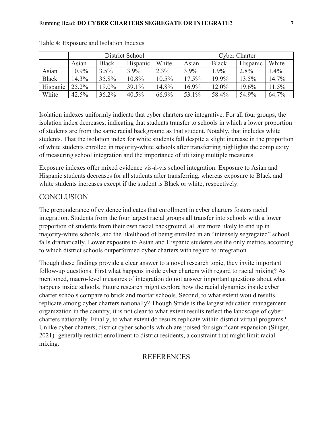|              | District School |              |          | <b>Cyber Charter</b> |       |              |          |       |
|--------------|-----------------|--------------|----------|----------------------|-------|--------------|----------|-------|
|              | Asian           | <b>Black</b> | Hispanic | White                | Asian | <b>Black</b> | Hispanic | White |
| Asian        | 10.9%           | $3.5\%$      | $3.9\%$  | 2.3%                 | 3.9%  | 1.9%         | 2.8%     | 1.4%  |
| <b>Black</b> | 14.3%           | 35.8%        | 10.8%    | $10.5\%$             | 17.5% | 19.9%        | 13.5%    | 14.7% |
| Hispanic     | 25.2%           | 19.0%        | 39.1%    | 14.8%                | 16.9% | 12.0%        | 19.6%    | 11.5% |
| White        | 42.5%           | $36.2\%$     | 40.5%    | 66.9%                | 53.1% | 58.4%        | 54.9%    | 64.7% |

| Table 4: Exposure and Isolation Indexes |  |  |
|-----------------------------------------|--|--|
|-----------------------------------------|--|--|

Isolation indexes uniformly indicate that cyber charters are integrative. For all four groups, the isolation index decreases, indicating that students transfer to schools in which a lower proportion of students are from the same racial background as that student. Notably, that includes white students. That the isolation index for white students fall despite a slight increase in the proportion of white students enrolled in majority-white schools after transferring highlights the complexity of measuring school integration and the importance of utilizing multiple measures.

Exposure indexes offer mixed evidence vis-à-vis school integration. Exposure to Asian and Hispanic students decreases for all students after transferring, whereas exposure to Black and white students increases except if the student is Black or white, respectively.

# **CONCLUSION**

The preponderance of evidence indicates that enrollment in cyber charters fosters racial integration. Students from the four largest racial groups all transfer into schools with a lower proportion of students from their own racial background, all are more likely to end up in majority-white schools, and the likelihood of being enrolled in an "intensely segregated" school falls dramatically. Lower exposure to Asian and Hispanic students are the only metrics according to which district schools outperformed cyber charters with regard to integration.

Though these findings provide a clear answer to a novel research topic, they invite important follow-up questions. First what happens inside cyber charters with regard to racial mixing? As mentioned, macro-level measures of integration do not answer important questions about what happens inside schools. Future research might explore how the racial dynamics inside cyber charter schools compare to brick and mortar schools. Second, to what extent would results replicate among cyber charters nationally? Though Stride is the largest education management organization in the country, it is not clear to what extent results reflect the landscape of cyber charters nationally. Finally, to what extent do results replicate within district virtual programs? Unlike cyber charters, district cyber schools-which are poised for significant expansion (Singer, 2021)- generally restrict enrollment to district residents, a constraint that might limit racial mixing.

# **REFERENCES**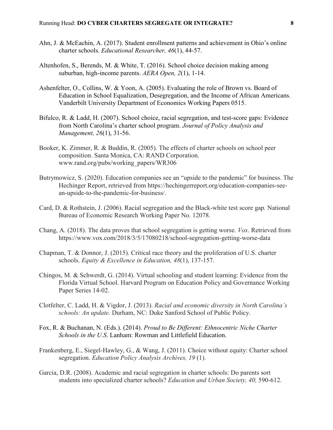- Ahn, J. & McEachin, A. (2017). Student enrollment patterns and achievement in Ohio's online charter schools. *Educational Researcher, 46*(1), 44-57.
- Altenhofen, S., Berends, M. & White, T. (2016). School choice decision making among suburban, high-income parents. *AERA Open, 2*(1), 1-14.
- Ashenfelter, O., Collins, W. & Yoon, A. (2005). Evaluating the role of Brown vs. Board of Education in School Equalization, Desegregation, and the Income of African Americans. Vanderbilt University Department of Economics Working Papers 0515.
- Bifulco, R. & Ladd, H. (2007). School choice, racial segregation, and test-score gaps: Evidence from North Carolina's charter school program. *Journal of Policy Analysis and Management, 26*(1), 31-56.
- Booker, K. Zimmer, R. & Buddin, R. (2005). The effects of charter schools on school peer composition. Santa Monica, CA: RAND Corporation. www.rand.org/pubs/working\_papers/WR306
- Butrymowicz, S. (2020). Education companies see an "upside to the pandemic" for business. The Hechinger Report, retrieved from https://hechingerreport.org/education-companies-seean-upside-to-the-pandemic-for-business/.
- Card, D. & Rothstein, J. (2006). Racial segregation and the Black-white test score gap. National Bureau of Economic Research Working Paper No. 12078.
- Chang, A. (2018). The data proves that school segregation is getting worse. *Vox*. Retrieved from https://www.vox.com/2018/3/5/17080218/school-segregation-getting-worse-data
- Chapman, T. & Donnor, J. (2015). Critical race theory and the proliferation of U.S. charter schools. *Equity & Excellence in Education, 48*(1), 137-157.
- Chingos, M. & Schwerdt, G. (2014). Virtual schooling and student learning: Evidence from the Florida Virtual School. Harvard Program on Education Policy and Governance Working Paper Series 14-02.
- Clotfelter, C. Ladd, H. & Vigdor, J. (2013). *Racial and economic diversity in North Carolina's schools: An update.* Durham, NC: Duke Sanford School of Public Policy.
- Fox, R. & Buchanan, N. (Eds.). (2014). *Proud to Be Different: Ethnocentric Niche Charter Schools in the U.S*. Lanham: Rowman and Littlefield Education.
- Frankenberg, E., Siegel-Hawley, G., & Wang, J. (2011). Choice without equity: Charter school segregation. *Education Policy Analysis Archives, 19* (1).
- Garcia, D.R. (2008). Academic and racial segregation in charter schools: Do parents sort students into specialized charter schools? *Education and Urban Society, 40,* 590-612.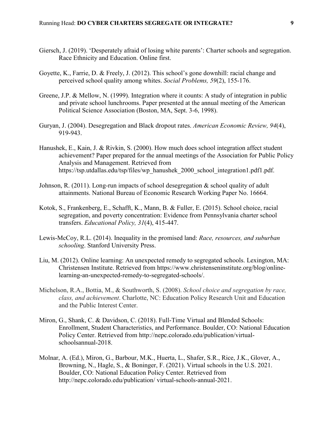- Giersch, J. (2019). 'Desperately afraid of losing white parents': Charter schools and segregation. Race Ethnicity and Education. Online first.
- Goyette, K., Farrie, D. & Freely, J. (2012). This school's gone downhill: racial change and perceived school quality among whites. *Social Problems, 59*(2), 155-176.
- Greene, J.P. & Mellow, N. (1999). Integration where it counts: A study of integration in public and private school lunchrooms. Paper presented at the annual meeting of the American Political Science Association (Boston, MA, Sept. 3-6, 1998).
- Guryan, J. (2004). Desegregation and Black dropout rates. *American Economic Review, 94*(4), 919-943.
- Hanushek, E., Kain, J. & Rivkin, S. (2000). How much does school integration affect student achievement? Paper prepared for the annual meetings of the Association for Public Policy Analysis and Management. Retrieved from https://tsp.utdallas.edu/tsp/files/wp\_hanushek\_2000\_school\_integration1.pdf1.pdf.
- Johnson, R. (2011). Long-run impacts of school desegregation & school quality of adult attainments. National Bureau of Economic Research Working Paper No. 16664.
- Kotok, S., Frankenberg, E., Schafft, K., Mann, B. & Fuller, E. (2015). School choice, racial segregation, and poverty concentration: Evidence from Pennsylvania charter school transfers. *Educational Policy, 31*(4), 415-447.
- Lewis-McCoy, R.L. (2014). Inequality in the promised land: *Race, resources, and suburban schooling*. Stanford University Press.
- Liu, M. (2012). Online learning: An unexpected remedy to segregated schools. Lexington, MA: Christensen Institute. Retrieved from https://www.christenseninstitute.org/blog/onlinelearning-an-unexpected-remedy-to-segregated-schools/.
- Michelson, R.A., Bottia, M., & Southworth, S. (2008). *School choice and segregation by race, class, and achievement*. Charlotte, NC: Education Policy Research Unit and Education and the Public Interest Center.
- Miron, G., Shank, C. & Davidson, C. (2018). Full-Time Virtual and Blended Schools: Enrollment, Student Characteristics, and Performance. Boulder, CO: National Education Policy Center. Retrieved from http://nepc.colorado.edu/publication/virtualschoolsannual-2018.
- Molnar, A. (Ed.), Miron, G., Barbour, M.K., Huerta, L., Shafer, S.R., Rice, J.K., Glover, A., Browning, N., Hagle, S., & Boninger, F. (2021). Virtual schools in the U.S. 2021. Boulder, CO: National Education Policy Center. Retrieved from http://nepc.colorado.edu/publication/ virtual-schools-annual-2021.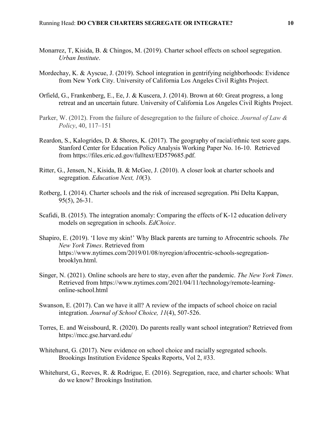- Monarrez, T, Kisida, B. & Chingos, M. (2019). Charter school effects on school segregation. *Urban Institute*.
- Mordechay, K. & Ayscue, J. (2019). School integration in gentrifying neighborhoods: Evidence from New York City. University of California Los Angeles Civil Rights Project.
- Orfield, G., Frankenberg, E., Ee, J. & Kuscera, J. (2014). Brown at 60: Great progress, a long retreat and an uncertain future. University of California Los Angeles Civil Rights Project.
- Parker, W. (2012). From the failure of desegregation to the failure of choice. *Journal of Law & Policy*, 40, 117–151
- Reardon, S., Kalogrides, D. & Shores, K. (2017). The geography of racial/ethnic test score gaps. Stanford Center for Education Policy Analysis Working Paper No. 16-10. Retrieved from https://files.eric.ed.gov/fulltext/ED579685.pdf.
- Ritter, G., Jensen, N., Kisida, B. & McGee, J. (2010). A closer look at charter schools and segregation. *Education Next, 10*(3).
- Rotberg, I. (2014). Charter schools and the risk of increased segregation. Phi Delta Kappan, 95(5), 26-31.
- Scafidi, B. (2015). The integration anomaly: Comparing the effects of K-12 education delivery models on segregation in schools. *EdChoice*.
- Shapiro, E. (2019). 'I love my skin!' Why Black parents are turning to Afrocentric schools. *The New York Times*. Retrieved from https://www.nytimes.com/2019/01/08/nyregion/afrocentric-schools-segregationbrooklyn.html.
- Singer, N. (2021). Online schools are here to stay, even after the pandemic. *The New York Times*. Retrieved from https://www.nytimes.com/2021/04/11/technology/remote-learningonline-school.html
- Swanson, E. (2017). Can we have it all? A review of the impacts of school choice on racial integration. *Journal of School Choice, 11*(4), 507-526.
- Torres, E. and Weissbourd, R. (2020). Do parents really want school integration? Retrieved from https://mcc.gse.harvard.edu/
- Whitehurst, G. (2017). New evidence on school choice and racially segregated schools. Brookings Institution Evidence Speaks Reports, Vol 2, #33.
- Whitehurst, G., Reeves, R. & Rodrigue, E. (2016). Segregation, race, and charter schools: What do we know? Brookings Institution.